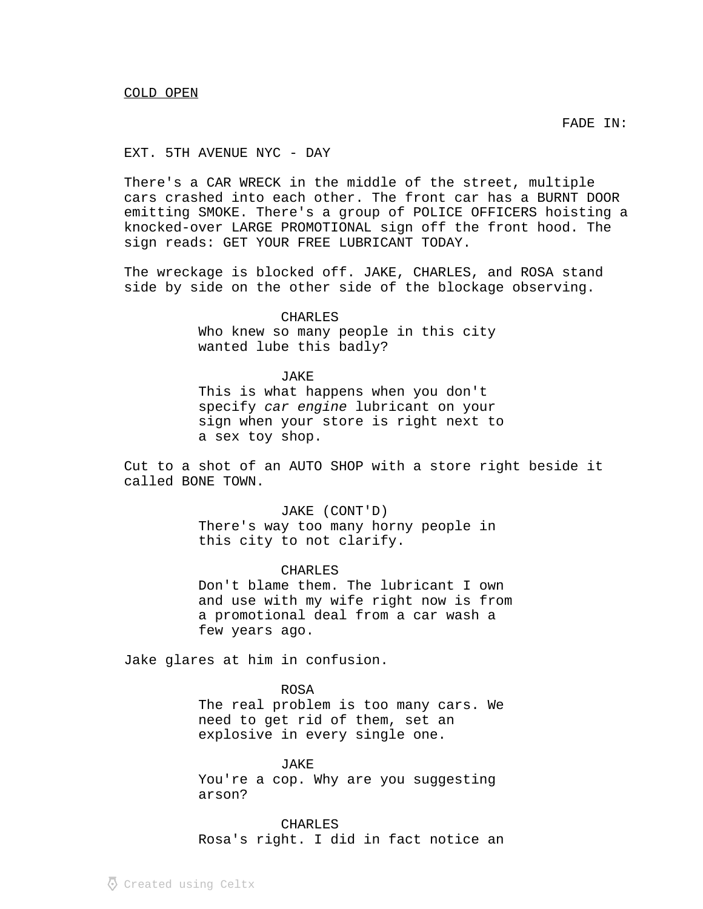FADE IN:

## EXT. 5TH AVENUE NYC - DAY

There's a CAR WRECK in the middle of the street, multiple cars crashed into each other. The front car has a BURNT DOOR emitting SMOKE. There's a group of POLICE OFFICERS hoisting a knocked-over LARGE PROMOTIONAL sign off the front hood. The sign reads: GET YOUR FREE LUBRICANT TODAY.

The wreckage is blocked off. JAKE, CHARLES, and ROSA stand side by side on the other side of the blockage observing.

CHARLES

Who knew so many people in this city wanted lube this badly?

## JAKE

This is what happens when you don't specify car engine lubricant on your sign when your store is right next to a sex toy shop.

Cut to a shot of an AUTO SHOP with a store right beside it called BONE TOWN.

> JAKE (CONT'D) There's way too many horny people in this city to not clarify.

> > CHARLES

Don't blame them. The lubricant I own and use with my wife right now is from a promotional deal from a car wash a few years ago.

Jake glares at him in confusion.

ROSA The real problem is too many cars. We need to get rid of them, set an explosive in every single one.

JAKE You're a cop. Why are you suggesting arson?

CHARLES Rosa's right. I did in fact notice an